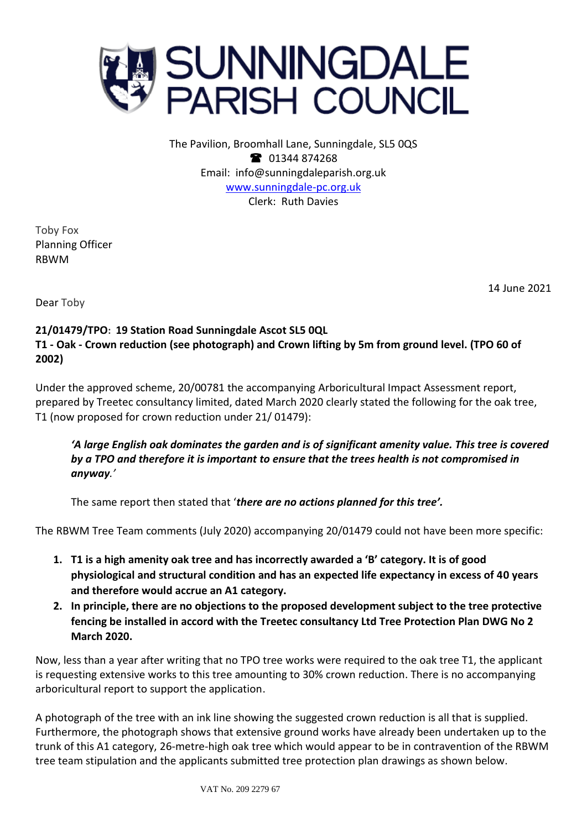

The Pavilion, Broomhall Lane, Sunningdale, SL5 0QS <sup>3</sup> 01344 874268 Email: info@sunningdaleparish.org.uk [www.sunningdale-pc.org.uk](http://www.sunningdale-pc.org.uk/) Clerk: Ruth Davies

Toby Fox Planning Officer RBWM

14 June 2021

Dear Toby

## **21/01479/TPO: 19 Station Road Sunningdale Ascot SL5 0QL T1 - Oak - Crown reduction (see photograph) and Crown lifting by 5m from ground level. (TPO 60 of 2002)**

Under the approved scheme, 20/00781 the accompanying Arboricultural Impact Assessment report, prepared by Treetec consultancy limited, dated March 2020 clearly stated the following for the oak tree, T1 (now proposed for crown reduction under 21/ 01479):

*'A large English oak dominates the garden and is of significant amenity value. This tree is covered by a TPO and therefore it is important to ensure that the trees health is not compromised in anyway.'*

The same report then stated that '*there are no actions planned for this tree'.*

The RBWM Tree Team comments (July 2020) accompanying 20/01479 could not have been more specific:

- **1. T1 is a high amenity oak tree and has incorrectly awarded a 'B' category. It is of good physiological and structural condition and has an expected life expectancy in excess of 40 years and therefore would accrue an A1 category.**
- **2. In principle, there are no objections to the proposed development subject to the tree protective fencing be installed in accord with the Treetec consultancy Ltd Tree Protection Plan DWG No 2 March 2020.**

Now, less than a year after writing that no TPO tree works were required to the oak tree T1, the applicant is requesting extensive works to this tree amounting to 30% crown reduction. There is no accompanying arboricultural report to support the application.

A photograph of the tree with an ink line showing the suggested crown reduction is all that is supplied. Furthermore, the photograph shows that extensive ground works have already been undertaken up to the trunk of this A1 category, 26-metre-high oak tree which would appear to be in contravention of the RBWM tree team stipulation and the applicants submitted tree protection plan drawings as shown below.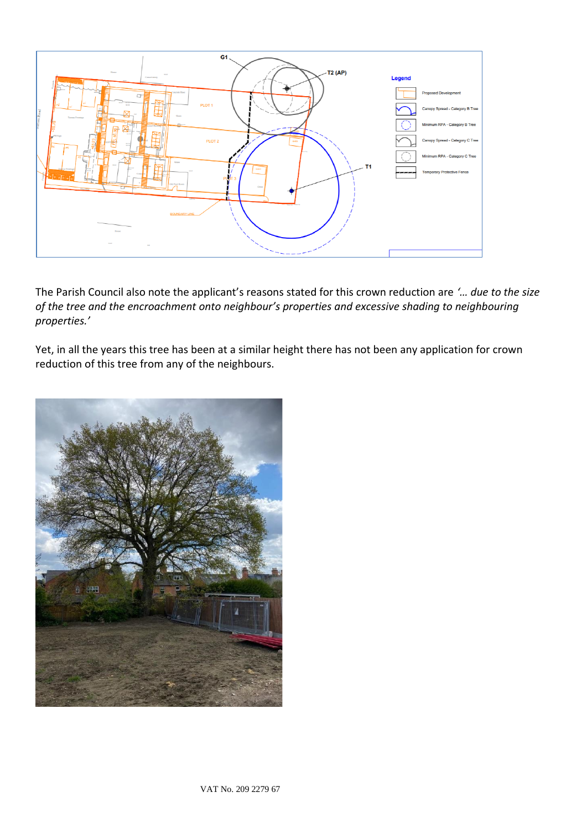

The Parish Council also note the applicant's reasons stated for this crown reduction are *'… due to the size of the tree and the encroachment onto neighbour's properties and excessive shading to neighbouring properties.'* 

Yet, in all the years this tree has been at a similar height there has not been any application for crown reduction of this tree from any of the neighbours.